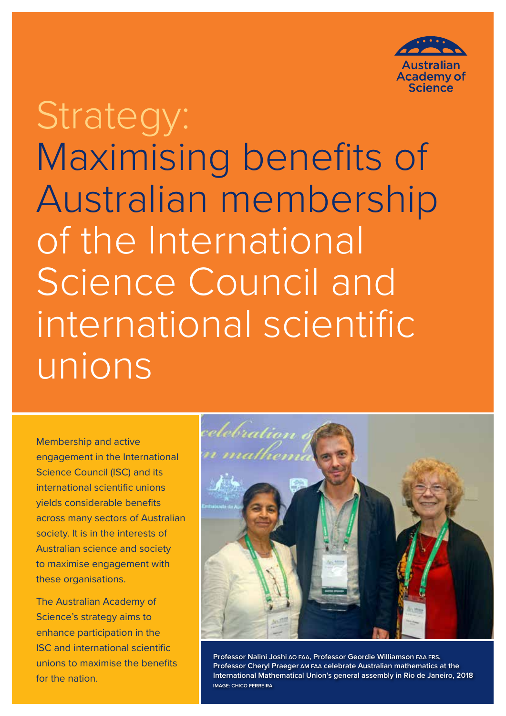

# Strategy: Maximising benefits of Australian membership of the International Science Council and international scientific unions

Membership and active engagement in the International Science Council (ISC) and its international scientific unions yields considerable benefits across many sectors of Australian society. It is in the interests of Australian science and society to maximise engagement with these organisations.

The Australian Academy of Science's strategy aims to enhance participation in the ISC and international scientific unions to maximise the benefits for the nation.



**Professor Nalini Joshi AO FAA, Professor Geordie Williamson FAA FRS, Professor Cheryl Praeger AM FAA celebrate Australian mathematics at the International Mathematical Union's general assembly in Rio de Janeiro, 2018 IMAGE: CHICO FERREIRA**